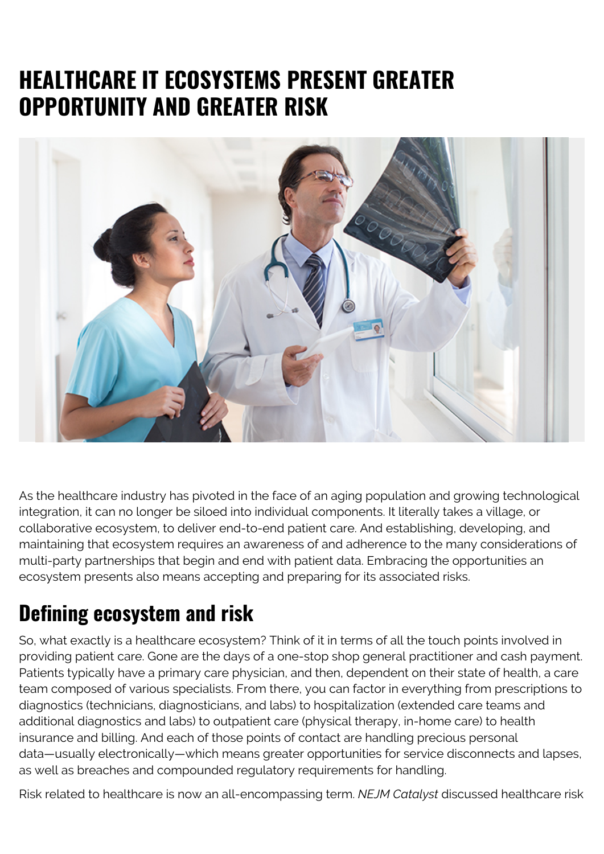## **HEALTHCARE IT ECOSYSTEMS PRESENT GREATER OPPORTUNITY AND GREATER RISK**



As the healthcare industry has pivoted in the face of an aging population and growing technological integration, it can no longer be siloed into individual components. It literally takes a village, or collaborative ecosystem, to deliver end-to-end patient care. And establishing, developing, and maintaining that ecosystem requires an awareness of and adherence to the many considerations of multi-party partnerships that begin and end with patient data. Embracing the opportunities an ecosystem presents also means accepting and preparing for its associated risks.

## **Defining ecosystem and risk**

So, what exactly is a healthcare ecosystem? Think of it in terms of all the touch points involved in providing patient care. Gone are the days of a one-stop shop general practitioner and cash payment. Patients typically have a primary care physician, and then, dependent on their state of health, a care team composed of various specialists. From there, you can factor in everything from prescriptions to diagnostics (technicians, diagnosticians, and labs) to hospitalization (extended care teams and additional diagnostics and labs) to outpatient care (physical therapy, in-home care) to health insurance and billing. And each of those points of contact are handling precious personal data—usually electronically—which means greater opportunities for service disconnects and lapses, as well as breaches and compounded regulatory requirements for handling.

Risk related to healthcare is now an all-encompassing term. *NEJM Catalyst* discussed healthcare risk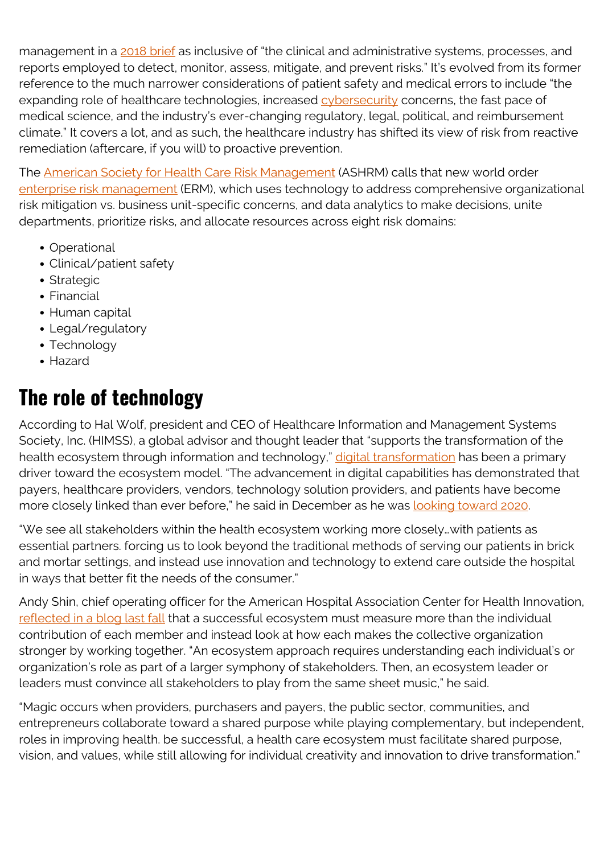management in a [2018 brief](https://catalyst.nejm.org/doi/full/10.1056/CAT.18.0197) as inclusive of "the clinical and administrative systems, processes, and reports employed to detect, monitor, assess, mitigate, and prevent risks." It's evolved from its former reference to the much narrower considerations of patient safety and medical errors to include "the expanding role of healthcare technologies, increased [cybersecurity](https://blogs.bmc.com/blogs/cybersecurity/) concerns, the fast pace of medical science, and the industry's ever-changing regulatory, legal, political, and reimbursement climate." It covers a lot, and as such, the healthcare industry has shifted its view of risk from reactive remediation (aftercare, if you will) to proactive prevention.

The [American Society for Health Care Risk Management](https://www.ashrm.org/) (ASHRM) calls that new world order [enterprise risk management](https://www.ashrm.org/system/files?file=media/file/2019/06/ERM-Tool_final.pdf) (ERM), which uses technology to address comprehensive organizational risk mitigation vs. business unit-specific concerns, and data analytics to make decisions, unite departments, prioritize risks, and allocate resources across eight risk domains:

- Operational
- Clinical/patient safety
- Strategic
- Financial
- Human capital
- Legal/regulatory
- Technology
- Hazard

## **The role of technology**

According to Hal Wolf, president and CEO of Healthcare Information and Management Systems Society, Inc. (HIMSS), a global advisor and thought leader that "supports the transformation of the health ecosystem through information and technology," [digital transformation](https://blogs.bmc.com/blogs/what-is-digital-transformation/) has been a primary driver toward the ecosystem model. "The advancement in digital capabilities has demonstrated that payers, healthcare providers, vendors, technology solution providers, and patients have become more closely linked than ever before," he said in December as he was [looking toward 2020.](https://www.himss.org/resources/whats-next-health-transforming-global-health-ecosystem)

"We see all stakeholders within the health ecosystem working more closely…with patients as essential partners. forcing us to look beyond the traditional methods of serving our patients in brick and mortar settings, and instead use innovation and technology to extend care outside the hospital in ways that better fit the needs of the consumer."

Andy Shin, chief operating officer for the American Hospital Association Center for Health Innovation, [reflected in a blog last fall](https://www.aha.org/news/healthcareinnovation-thursday-blog/2019-11-07-why-ecosystems-will-be-2020-leading-health-care) that a successful ecosystem must measure more than the individual contribution of each member and instead look at how each makes the collective organization stronger by working together. "An ecosystem approach requires understanding each individual's or organization's role as part of a larger symphony of stakeholders. Then, an ecosystem leader or leaders must convince all stakeholders to play from the same sheet music," he said.

"Magic occurs when providers, purchasers and payers, the public sector, communities, and entrepreneurs collaborate toward a shared purpose while playing complementary, but independent, roles in improving health. be successful, a health care ecosystem must facilitate shared purpose, vision, and values, while still allowing for individual creativity and innovation to drive transformation."